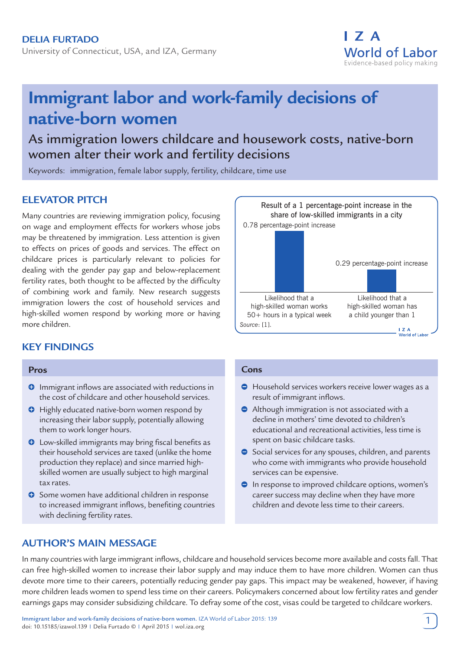University of Connecticut, USA, and IZA, Germany



# **Immigrant labor and work-family decisions of native-born women**

## As immigration lowers childcare and housework costs, native-born women alter their work and fertility decisions

Keywords: immigration, female labor supply, fertility, childcare, time use

## **ELEVATOR PITCH**

Many countries are reviewing immigration policy, focusing on wage and employment effects for workers whose jobs may be threatened by immigration. Less attention is given to effects on prices of goods and services. The effect on childcare prices is particularly relevant to policies for dealing with the gender pay gap and below-replacement fertility rates, both thought to be affected by the difficulty of combining work and family. New research suggests immigration lowers the cost of household services and high-skilled women respond by working more or having more children.

## **KEY FINDINGS**

#### **Pros**

- **O** Immigrant inflows are associated with reductions in the cost of childcare and other household services.
- $\Theta$  Highly educated native-born women respond by increasing their labor supply, potentially allowing them to work longer hours.
- $\bullet$  Low-skilled immigrants may bring fiscal benefits as their household services are taxed (unlike the home production they replace) and since married highskilled women are usually subject to high marginal tax rates.
- **O** Some women have additional children in response to increased immigrant inflows, benefiting countries with declining fertility rates.



#### **Cons**

- Household services workers receive lower wages as a result of immigrant inflows.
- Although immigration is not associated with a decline in mothers' time devoted to children's educational and recreational activities, less time is spent on basic childcare tasks.
- Social services for any spouses, children, and parents who come with immigrants who provide household services can be expensive.
- **In response to improved childcare options, women's** career success may decline when they have more children and devote less time to their careers.

## **AUTHOR'S MAIN MESSAGE**

In many countries with large immigrant inflows, childcare and household services become more available and costs fall. That can free high-skilled women to increase their labor supply and may induce them to have more children. Women can thus devote more time to their careers, potentially reducing gender pay gaps. This impact may be weakened, however, if having more children leads women to spend less time on their careers. Policymakers concerned about low fertility rates and gender earnings gaps may consider subsidizing childcare. To defray some of the cost, visas could be targeted to childcare workers.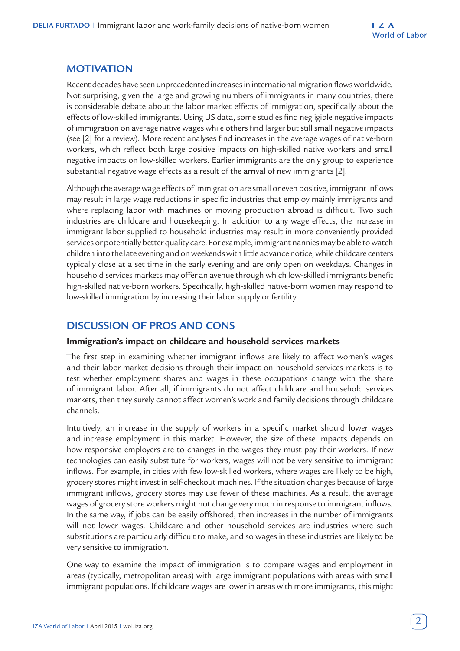## **MOTIVATION**

Recent decades have seen unprecedented increases in international migration flows worldwide. Not surprising, given the large and growing numbers of immigrants in many countries, there is considerable debate about the labor market effects of immigration, specifically about the effects of low-skilled immigrants. Using US data, some studies find negligible negative impacts of immigration on average native wages while others find larger but still small negative impacts (see [2] for a review). More recent analyses find increases in the average wages of native-born workers, which reflect both large positive impacts on high-skilled native workers and small negative impacts on low-skilled workers. Earlier immigrants are the only group to experience substantial negative wage effects as a result of the arrival of new immigrants [2].

Although the average wage effects of immigration are small or even positive, immigrant inflows may result in large wage reductions in specific industries that employ mainly immigrants and where replacing labor with machines or moving production abroad is difficult. Two such industries are childcare and housekeeping. In addition to any wage effects, the increase in immigrant labor supplied to household industries may result in more conveniently provided services or potentially better quality care. For example, immigrant nannies may be able to watch children into the late evening and on weekends with little advance notice, while childcare centers typically close at a set time in the early evening and are only open on weekdays. Changes in household services markets may offer an avenue through which low-skilled immigrants benefit high-skilled native-born workers. Specifically, high-skilled native-born women may respond to low-skilled immigration by increasing their labor supply or fertility.

## **DISCUSSION OF PROS AND CONS**

#### **Immigration's impact on childcare and household services markets**

The first step in examining whether immigrant inflows are likely to affect women's wages and their labor-market decisions through their impact on household services markets is to test whether employment shares and wages in these occupations change with the share of immigrant labor. After all, if immigrants do not affect childcare and household services markets, then they surely cannot affect women's work and family decisions through childcare channels.

Intuitively, an increase in the supply of workers in a specific market should lower wages and increase employment in this market. However, the size of these impacts depends on how responsive employers are to changes in the wages they must pay their workers. If new technologies can easily substitute for workers, wages will not be very sensitive to immigrant inflows. For example, in cities with few low-skilled workers, where wages are likely to be high, grocery stores might invest in self-checkout machines. If the situation changes because of large immigrant inflows, grocery stores may use fewer of these machines. As a result, the average wages of grocery store workers might not change very much in response to immigrant inflows. In the same way, if jobs can be easily offshored, then increases in the number of immigrants will not lower wages. Childcare and other household services are industries where such substitutions are particularly difficult to make, and so wages in these industries are likely to be very sensitive to immigration.

One way to examine the impact of immigration is to compare wages and employment in areas (typically, metropolitan areas) with large immigrant populations with areas with small immigrant populations. If childcare wages are lower in areas with more immigrants, this might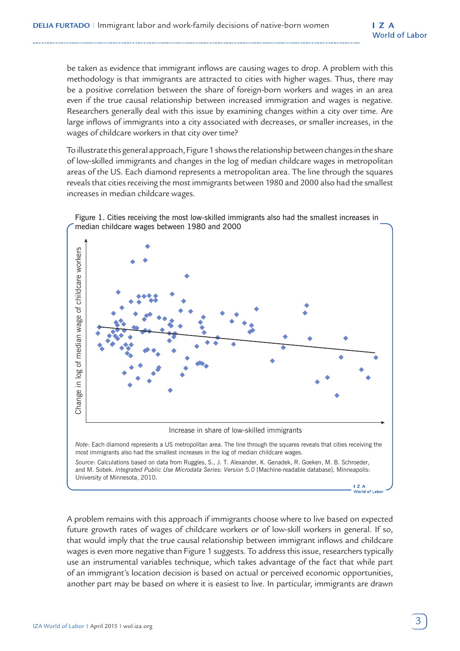be taken as evidence that immigrant inflows are causing wages to drop. A problem with this methodology is that immigrants are attracted to cities with higher wages. Thus, there may be a positive correlation between the share of foreign-born workers and wages in an area even if the true causal relationship between increased immigration and wages is negative. Researchers generally deal with this issue by examining changes within a city over time. Are large inflows of immigrants into a city associated with decreases, or smaller increases, in the wages of childcare workers in that city over time?

To illustrate this general approach, Figure 1 shows the relationship between changes in the share of low-skilled immigrants and changes in the log of median childcare wages in metropolitan areas of the US. Each diamond represents a metropolitan area. The line through the squares reveals that cities receiving the most immigrants between 1980 and 2000 also had the smallest increases in median childcare wages.



Figure 1. Cities receiving the most low-skilled immigrants also had the smallest increases in median childcare wages between 1980 and 2000

A problem remains with this approach if immigrants choose where to live based on expected future growth rates of wages of childcare workers or of low-skill workers in general. If so, that would imply that the true causal relationship between immigrant inflows and childcare wages is even more negative than Figure 1 suggests. To address this issue, researchers typically use an instrumental variables technique, which takes advantage of the fact that while part of an immigrant's location decision is based on actual or perceived economic opportunities, another part may be based on where it is easiest to live. In particular, immigrants are drawn

World of Labor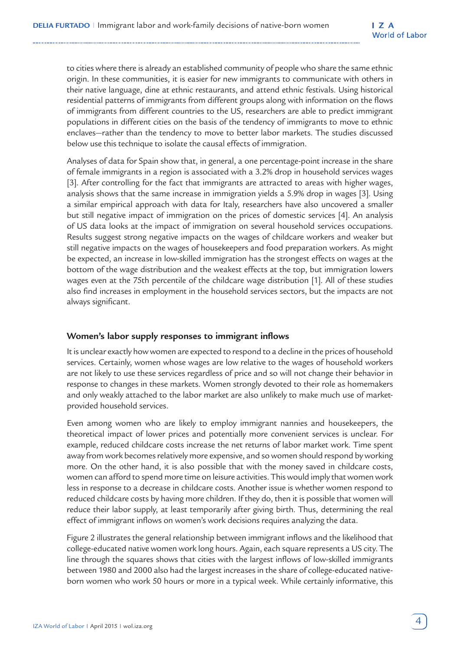to cities where there is already an established community of people who share the same ethnic origin. In these communities, it is easier for new immigrants to communicate with others in their native language, dine at ethnic restaurants, and attend ethnic festivals. Using historical residential patterns of immigrants from different groups along with information on the flows of immigrants from different countries to the US, researchers are able to predict immigrant populations in different cities on the basis of the tendency of immigrants to move to ethnic enclaves—rather than the tendency to move to better labor markets. The studies discussed below use this technique to isolate the causal effects of immigration.

Analyses of data for Spain show that, in general, a one percentage-point increase in the share of female immigrants in a region is associated with a 3.2% drop in household services wages [3]. After controlling for the fact that immigrants are attracted to areas with higher wages, analysis shows that the same increase in immigration yields a 5.9% drop in wages [3]. Using a similar empirical approach with data for Italy, researchers have also uncovered a smaller but still negative impact of immigration on the prices of domestic services [4]. An analysis of US data looks at the impact of immigration on several household services occupations. Results suggest strong negative impacts on the wages of childcare workers and weaker but still negative impacts on the wages of housekeepers and food preparation workers. As might be expected, an increase in low-skilled immigration has the strongest effects on wages at the bottom of the wage distribution and the weakest effects at the top, but immigration lowers wages even at the 75th percentile of the childcare wage distribution [1]. All of these studies also find increases in employment in the household services sectors, but the impacts are not always significant.

#### **Women's labor supply responses to immigrant inflows**

It is unclear exactly how women are expected to respond to a decline in the prices of household services. Certainly, women whose wages are low relative to the wages of household workers are not likely to use these services regardless of price and so will not change their behavior in response to changes in these markets. Women strongly devoted to their role as homemakers and only weakly attached to the labor market are also unlikely to make much use of marketprovided household services.

Even among women who are likely to employ immigrant nannies and housekeepers, the theoretical impact of lower prices and potentially more convenient services is unclear. For example, reduced childcare costs increase the net returns of labor market work. Time spent away from work becomes relatively more expensive, and so women should respond by working more. On the other hand, it is also possible that with the money saved in childcare costs, women can afford to spend more time on leisure activities. This would imply that women work less in response to a decrease in childcare costs. Another issue is whether women respond to reduced childcare costs by having more children. If they do, then it is possible that women will reduce their labor supply, at least temporarily after giving birth. Thus, determining the real effect of immigrant inflows on women's work decisions requires analyzing the data.

Figure 2 illustrates the general relationship between immigrant inflows and the likelihood that college-educated native women work long hours. Again, each square represents a US city. The line through the squares shows that cities with the largest inflows of low-skilled immigrants between 1980 and 2000 also had the largest increases in the share of college-educated nativeborn women who work 50 hours or more in a typical week. While certainly informative, this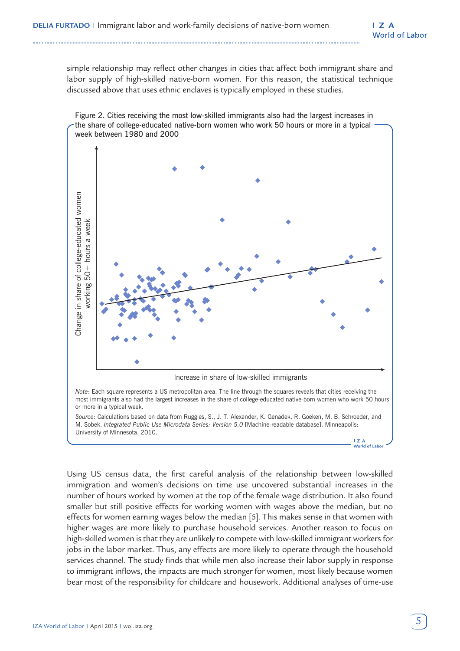simple relationship may reflect other changes in cities that affect both immigrant share and labor supply of high-skilled native-born women. For this reason, the statistical technique discussed above that uses ethnic enclaves is typically employed in these studies.



most immigrants also had the largest increases in the share of college-educated native-born women who work 50 hours or more in a typical week.

*Source*: Calculations based on data from Ruggles, S., J. T. Alexander, K. Genadek, R. Goeken, M. B. Schroeder, and M. Sobek. *Integrated Public Use Microdata Series: Version 5.0* [Machine-readable database]. Minneapolis: University of Minnesota, 2010.

Using US census data, the first careful analysis of the relationship between low-skilled immigration and women's decisions on time use uncovered substantial increases in the number of hours worked by women at the top of the female wage distribution. It also found smaller but still positive effects for working women with wages above the median, but no effects for women earning wages below the median [5]. This makes sense in that women with higher wages are more likely to purchase household services. Another reason to focus on high-skilled women is that they are unlikely to compete with low-skilled immigrant workers for jobs in the labor market. Thus, any effects are more likely to operate through the household services channel. The study finds that while men also increase their labor supply in response to immigrant inflows, the impacts are much stronger for women, most likely because women bear most of the responsibility for childcare and housework. Additional analyses of time-use

**I** Z A<br>World of Labor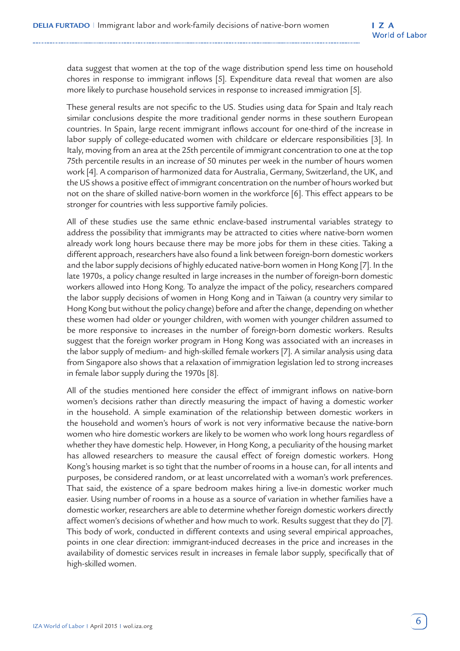data suggest that women at the top of the wage distribution spend less time on household chores in response to immigrant inflows [5]. Expenditure data reveal that women are also more likely to purchase household services in response to increased immigration [5].

These general results are not specific to the US. Studies using data for Spain and Italy reach similar conclusions despite the more traditional gender norms in these southern European countries. In Spain, large recent immigrant inflows account for one-third of the increase in labor supply of college-educated women with childcare or eldercare responsibilities [3]. In Italy, moving from an area at the 25th percentile of immigrant concentration to one at the top 75th percentile results in an increase of 50 minutes per week in the number of hours women work [4]. A comparison of harmonized data for Australia, Germany, Switzerland, the UK, and the US shows a positive effect of immigrant concentration on the number of hours worked but not on the share of skilled native-born women in the workforce [6]. This effect appears to be stronger for countries with less supportive family policies.

All of these studies use the same ethnic enclave-based instrumental variables strategy to address the possibility that immigrants may be attracted to cities where native-born women already work long hours because there may be more jobs for them in these cities. Taking a different approach, researchers have also found a link between foreign-born domestic workers and the labor supply decisions of highly educated native-born women in Hong Kong [7]. In the late 1970s, a policy change resulted in large increases in the number of foreign-born domestic workers allowed into Hong Kong. To analyze the impact of the policy, researchers compared the labor supply decisions of women in Hong Kong and in Taiwan (a country very similar to Hong Kong but without the policy change) before and after the change, depending on whether these women had older or younger children, with women with younger children assumed to be more responsive to increases in the number of foreign-born domestic workers. Results suggest that the foreign worker program in Hong Kong was associated with an increases in the labor supply of medium- and high-skilled female workers [7]. A similar analysis using data from Singapore also shows that a relaxation of immigration legislation led to strong increases in female labor supply during the 1970s [8].

All of the studies mentioned here consider the effect of immigrant inflows on native-born women's decisions rather than directly measuring the impact of having a domestic worker in the household. A simple examination of the relationship between domestic workers in the household and women's hours of work is not very informative because the native-born women who hire domestic workers are likely to be women who work long hours regardless of whether they have domestic help. However, in Hong Kong, a peculiarity of the housing market has allowed researchers to measure the causal effect of foreign domestic workers. Hong Kong's housing market is so tight that the number of rooms in a house can, for all intents and purposes, be considered random, or at least uncorrelated with a woman's work preferences. That said, the existence of a spare bedroom makes hiring a live-in domestic worker much easier. Using number of rooms in a house as a source of variation in whether families have a domestic worker, researchers are able to determine whether foreign domestic workers directly affect women's decisions of whether and how much to work. Results suggest that they do [7]. This body of work, conducted in different contexts and using several empirical approaches, points in one clear direction: immigrant-induced decreases in the price and increases in the availability of domestic services result in increases in female labor supply, specifically that of high-skilled women.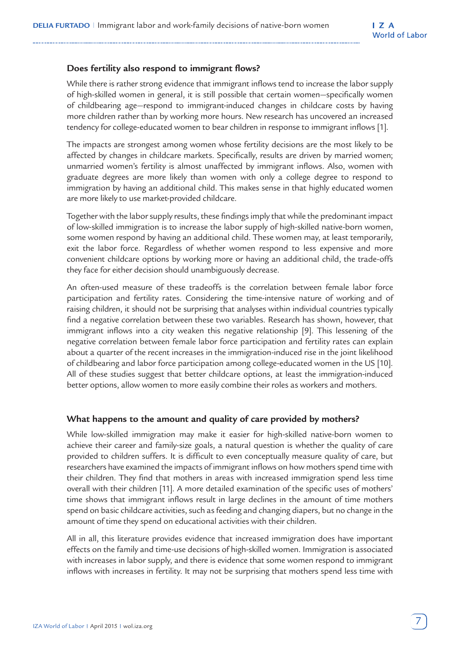#### **Does fertility also respond to immigrant flows?**

While there is rather strong evidence that immigrant inflows tend to increase the labor supply of high-skilled women in general, it is still possible that certain women—specifically women of childbearing age—respond to immigrant-induced changes in childcare costs by having more children rather than by working more hours. New research has uncovered an increased tendency for college-educated women to bear children in response to immigrant inflows [1].

The impacts are strongest among women whose fertility decisions are the most likely to be affected by changes in childcare markets. Specifically, results are driven by married women; unmarried women's fertility is almost unaffected by immigrant inflows. Also, women with graduate degrees are more likely than women with only a college degree to respond to immigration by having an additional child. This makes sense in that highly educated women are more likely to use market-provided childcare.

Together with the labor supply results, these findings imply that while the predominant impact of low-skilled immigration is to increase the labor supply of high-skilled native-born women, some women respond by having an additional child. These women may, at least temporarily, exit the labor force. Regardless of whether women respond to less expensive and more convenient childcare options by working more or having an additional child, the trade-offs they face for either decision should unambiguously decrease.

An often-used measure of these tradeoffs is the correlation between female labor force participation and fertility rates. Considering the time-intensive nature of working and of raising children, it should not be surprising that analyses within individual countries typically find a negative correlation between these two variables. Research has shown, however, that immigrant inflows into a city weaken this negative relationship [9]. This lessening of the negative correlation between female labor force participation and fertility rates can explain about a quarter of the recent increases in the immigration-induced rise in the joint likelihood of childbearing and labor force participation among college-educated women in the US [10]. All of these studies suggest that better childcare options, at least the immigration-induced better options, allow women to more easily combine their roles as workers and mothers.

#### **What happens to the amount and quality of care provided by mothers?**

While low-skilled immigration may make it easier for high-skilled native-born women to achieve their career and family-size goals, a natural question is whether the quality of care provided to children suffers. It is difficult to even conceptually measure quality of care, but researchers have examined the impacts of immigrant inflows on how mothers spend time with their children. They find that mothers in areas with increased immigration spend less time overall with their children [11]. A more detailed examination of the specific uses of mothers' time shows that immigrant inflows result in large declines in the amount of time mothers spend on basic childcare activities, such as feeding and changing diapers, but no change in the amount of time they spend on educational activities with their children.

All in all, this literature provides evidence that increased immigration does have important effects on the family and time-use decisions of high-skilled women. Immigration is associated with increases in labor supply, and there is evidence that some women respond to immigrant inflows with increases in fertility. It may not be surprising that mothers spend less time with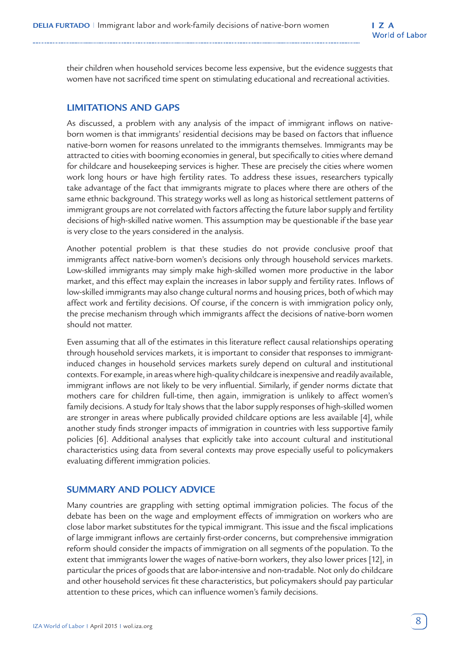their children when household services become less expensive, but the evidence suggests that women have not sacrificed time spent on stimulating educational and recreational activities.

### **LIMITATIONS AND GAPS**

As discussed, a problem with any analysis of the impact of immigrant inflows on nativeborn women is that immigrants' residential decisions may be based on factors that influence native-born women for reasons unrelated to the immigrants themselves. Immigrants may be attracted to cities with booming economies in general, but specifically to cities where demand for childcare and housekeeping services is higher. These are precisely the cities where women work long hours or have high fertility rates. To address these issues, researchers typically take advantage of the fact that immigrants migrate to places where there are others of the same ethnic background. This strategy works well as long as historical settlement patterns of immigrant groups are not correlated with factors affecting the future labor supply and fertility decisions of high-skilled native women. This assumption may be questionable if the base year is very close to the years considered in the analysis.

Another potential problem is that these studies do not provide conclusive proof that immigrants affect native-born women's decisions only through household services markets. Low-skilled immigrants may simply make high-skilled women more productive in the labor market, and this effect may explain the increases in labor supply and fertility rates. Inflows of low-skilled immigrants may also change cultural norms and housing prices, both of which may affect work and fertility decisions. Of course, if the concern is with immigration policy only, the precise mechanism through which immigrants affect the decisions of native-born women should not matter.

Even assuming that all of the estimates in this literature reflect causal relationships operating through household services markets, it is important to consider that responses to immigrantinduced changes in household services markets surely depend on cultural and institutional contexts. For example, in areas where high-quality childcare is inexpensive and readily available, immigrant inflows are not likely to be very influential. Similarly, if gender norms dictate that mothers care for children full-time, then again, immigration is unlikely to affect women's family decisions. A study for Italy shows that the labor supply responses of high-skilled women are stronger in areas where publically provided childcare options are less available [4], while another study finds stronger impacts of immigration in countries with less supportive family policies [6]. Additional analyses that explicitly take into account cultural and institutional characteristics using data from several contexts may prove especially useful to policymakers evaluating different immigration policies.

#### **SUMMARY AND POLICY ADVICE**

Many countries are grappling with setting optimal immigration policies. The focus of the debate has been on the wage and employment effects of immigration on workers who are close labor market substitutes for the typical immigrant. This issue and the fiscal implications of large immigrant inflows are certainly first-order concerns, but comprehensive immigration reform should consider the impacts of immigration on all segments of the population. To the extent that immigrants lower the wages of native-born workers, they also lower prices [12], in particular the prices of goods that are labor-intensive and non-tradable. Not only do childcare and other household services fit these characteristics, but policymakers should pay particular attention to these prices, which can influence women's family decisions.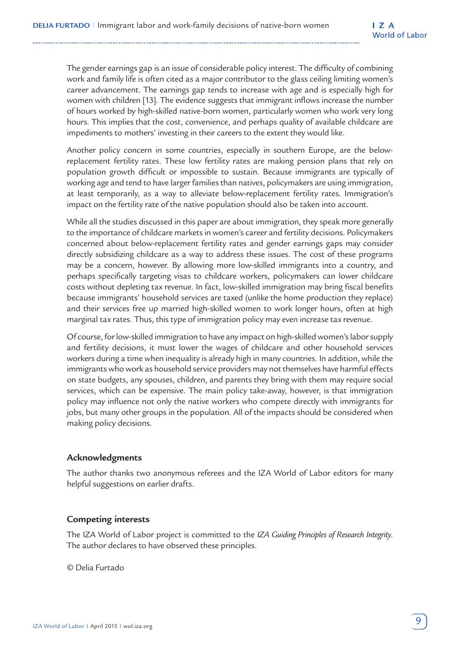The gender earnings gap is an issue of considerable policy interest. The difficulty of combining work and family life is often cited as a major contributor to the glass ceiling limiting women's career advancement. The earnings gap tends to increase with age and is especially high for women with children [13]. The evidence suggests that immigrant inflows increase the number of hours worked by high-skilled native-born women, particularly women who work very long hours. This implies that the cost, convenience, and perhaps quality of available childcare are impediments to mothers' investing in their careers to the extent they would like.

Another policy concern in some countries, especially in southern Europe, are the belowreplacement fertility rates. These low fertility rates are making pension plans that rely on population growth difficult or impossible to sustain. Because immigrants are typically of working age and tend to have larger families than natives, policymakers are using immigration, at least temporarily, as a way to alleviate below-replacement fertility rates. Immigration's impact on the fertility rate of the native population should also be taken into account.

While all the studies discussed in this paper are about immigration, they speak more generally to the importance of childcare markets in women's career and fertility decisions. Policymakers concerned about below-replacement fertility rates and gender earnings gaps may consider directly subsidizing childcare as a way to address these issues. The cost of these programs may be a concern, however. By allowing more low-skilled immigrants into a country, and perhaps specifically targeting visas to childcare workers, policymakers can lower childcare costs without depleting tax revenue. In fact, low-skilled immigration may bring fiscal benefits because immigrants' household services are taxed (unlike the home production they replace) and their services free up married high-skilled women to work longer hours, often at high marginal tax rates. Thus, this type of immigration policy may even increase tax revenue.

Of course, for low-skilled immigration to have any impact on high-skilled women's labor supply and fertility decisions, it must lower the wages of childcare and other household services workers during a time when inequality is already high in many countries. In addition, while the immigrants who work as household service providers may not themselves have harmful effects on state budgets, any spouses, children, and parents they bring with them may require social services, which can be expensive. The main policy take-away, however, is that immigration policy may influence not only the native workers who compete directly with immigrants for jobs, but many other groups in the population. All of the impacts should be considered when making policy decisions.

#### **Acknowledgments**

The author thanks two anonymous referees and the IZA World of Labor editors for many helpful suggestions on earlier drafts.

#### **Competing interests**

The IZA World of Labor project is committed to the *IZA Guiding Principles of Research Integrity*. The author declares to have observed these principles.

© Delia Furtado